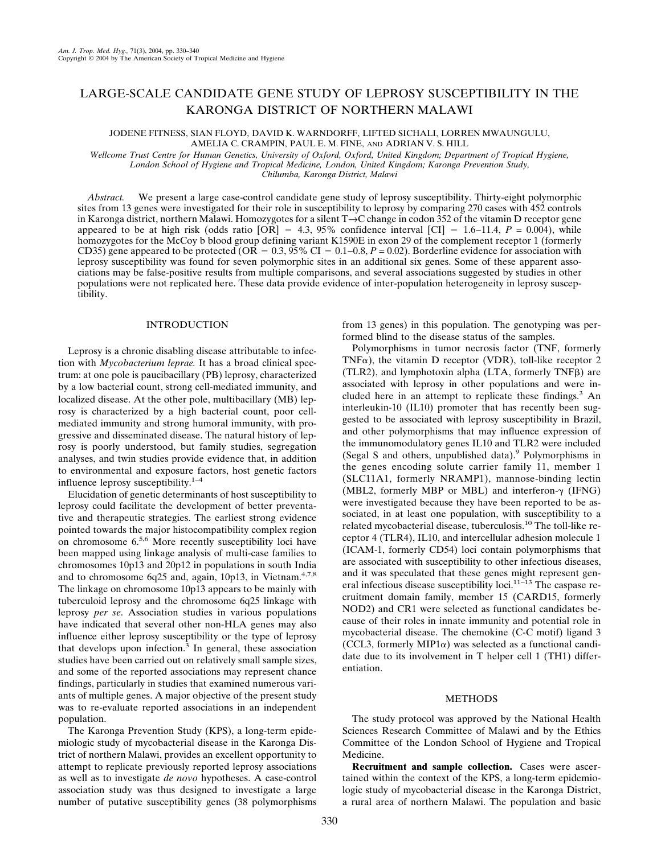# LARGE-SCALE CANDIDATE GENE STUDY OF LEPROSY SUSCEPTIBILITY IN THE KARONGA DISTRICT OF NORTHERN MALAWI

JODENE FITNESS, SIAN FLOYD, DAVID K. WARNDORFF, LIFTED SICHALI, LORREN MWAUNGULU, AMELIA C. CRAMPIN, PAUL E. M. FINE, AND ADRIAN V. S. HILL

*Wellcome Trust Centre for Human Genetics, University of Oxford, Oxford, United Kingdom; Department of Tropical Hygiene, London School of Hygiene and Tropical Medicine, London, United Kingdom; Karonga Prevention Study,*

*Chilumba, Karonga District, Malawi*

*Abstract.* We present a large case-control candidate gene study of leprosy susceptibility. Thirty-eight polymorphic sites from 13 genes were investigated for their role in susceptibility to leprosy by comparing 270 cases with 452 controls in Karonga district, northern Malawi. Homozygotes for a silent T→C change in codon 352 of the vitamin D receptor gene appeared to be at high risk (odds ratio  $[OR] = 4.3$ , 95% confidence interval  $[CI] = 1.6-11.4$ ,  $P = 0.004$ ), while homozygotes for the McCoy b blood group defining variant K1590E in exon 29 of the complement receptor 1 (formerly CD35) gene appeared to be protected (OR =  $0.3$ ,  $95\%$  CI =  $0.1-0.8$ ,  $P = 0.02$ ). Borderline evidence for association with leprosy susceptibility was found for seven polymorphic sites in an additional six genes. Some of these apparent associations may be false-positive results from multiple comparisons, and several associations suggested by studies in other populations were not replicated here. These data provide evidence of inter-population heterogeneity in leprosy susceptibility.

# INTRODUCTION

Leprosy is a chronic disabling disease attributable to infection with *Mycobacterium leprae.* It has a broad clinical spectrum: at one pole is paucibacillary (PB) leprosy, characterized by a low bacterial count, strong cell-mediated immunity, and localized disease. At the other pole, multibacillary (MB) leprosy is characterized by a high bacterial count, poor cellmediated immunity and strong humoral immunity, with progressive and disseminated disease. The natural history of leprosy is poorly understood, but family studies, segregation analyses, and twin studies provide evidence that, in addition to environmental and exposure factors, host genetic factors influence leprosy susceptibility.1–4

Elucidation of genetic determinants of host susceptibility to leprosy could facilitate the development of better preventative and therapeutic strategies. The earliest strong evidence pointed towards the major histocompatibility complex region on chromosome 6.5,6 More recently susceptibility loci have been mapped using linkage analysis of multi-case families to chromosomes 10p13 and 20p12 in populations in south India and to chromosome 6q25 and, again, 10p13, in Vietnam. $4,7,8$ The linkage on chromosome 10p13 appears to be mainly with tuberculoid leprosy and the chromosome 6q25 linkage with leprosy *per se*. Association studies in various populations have indicated that several other non-HLA genes may also influence either leprosy susceptibility or the type of leprosy that develops upon infection. $3$  In general, these association studies have been carried out on relatively small sample sizes, and some of the reported associations may represent chance findings, particularly in studies that examined numerous variants of multiple genes. A major objective of the present study was to re-evaluate reported associations in an independent population.

The Karonga Prevention Study (KPS), a long-term epidemiologic study of mycobacterial disease in the Karonga District of northern Malawi, provides an excellent opportunity to attempt to replicate previously reported leprosy associations as well as to investigate *de novo* hypotheses. A case-control association study was thus designed to investigate a large number of putative susceptibility genes (38 polymorphisms from 13 genes) in this population. The genotyping was performed blind to the disease status of the samples.

Polymorphisms in tumor necrosis factor (TNF, formerly TNF $\alpha$ ), the vitamin D receptor (VDR), toll-like receptor 2  $(TLR2)$ , and lymphotoxin alpha  $(LTA,$  formerly  $TNF\beta)$  are associated with leprosy in other populations and were included here in an attempt to replicate these findings.<sup>3</sup> An interleukin-10 (IL10) promoter that has recently been suggested to be associated with leprosy susceptibility in Brazil, and other polymorphisms that may influence expression of the immunomodulatory genes IL10 and TLR2 were included (Segal S and others, unpublished data).<sup>9</sup> Polymorphisms in the genes encoding solute carrier family 11, member 1 (SLC11A1, formerly NRAMP1), mannose-binding lectin (MBL2, formerly MBP or MBL) and interferon- $\gamma$  (IFNG) were investigated because they have been reported to be associated, in at least one population, with susceptibility to a related mycobacterial disease, tuberculosis.<sup>10</sup> The toll-like receptor 4 (TLR4), IL10, and intercellular adhesion molecule 1 (ICAM-1, formerly CD54) loci contain polymorphisms that are associated with susceptibility to other infectious diseases, and it was speculated that these genes might represent general infectious disease susceptibility loci. $11-13$  The caspase recruitment domain family, member 15 (CARD15, formerly NOD2) and CR1 were selected as functional candidates because of their roles in innate immunity and potential role in mycobacterial disease. The chemokine (C-C motif) ligand 3 (CCL3, formerly MIP1 $\alpha$ ) was selected as a functional candidate due to its involvement in T helper cell 1 (TH1) differentiation.

#### **METHODS**

The study protocol was approved by the National Health Sciences Research Committee of Malawi and by the Ethics Committee of the London School of Hygiene and Tropical Medicine.

**Recruitment and sample collection.** Cases were ascertained within the context of the KPS, a long-term epidemiologic study of mycobacterial disease in the Karonga District, a rural area of northern Malawi. The population and basic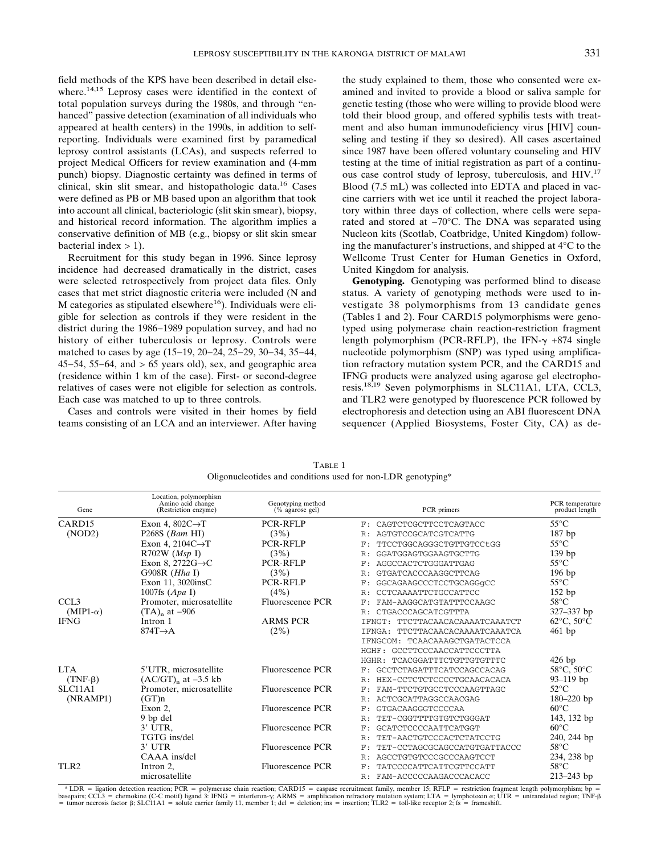field methods of the KPS have been described in detail elsewhere.<sup>14,15</sup> Leprosy cases were identified in the context of total population surveys during the 1980s, and through "enhanced" passive detection (examination of all individuals who appeared at health centers) in the 1990s, in addition to selfreporting. Individuals were examined first by paramedical leprosy control assistants (LCAs), and suspects referred to project Medical Officers for review examination and (4-mm punch) biopsy. Diagnostic certainty was defined in terms of clinical, skin slit smear, and histopathologic data.<sup>16</sup> Cases were defined as PB or MB based upon an algorithm that took into account all clinical, bacteriologic (slit skin smear), biopsy, and historical record information. The algorithm implies a conservative definition of MB (e.g., biopsy or slit skin smear bacterial index  $> 1$ ).

Recruitment for this study began in 1996. Since leprosy incidence had decreased dramatically in the district, cases were selected retrospectively from project data files. Only cases that met strict diagnostic criteria were included (N and M categories as stipulated elsewhere<sup>16</sup>). Individuals were eligible for selection as controls if they were resident in the district during the 1986−1989 population survey, and had no history of either tuberculosis or leprosy. Controls were matched to cases by age (15−19, 20−24, 25−29, 30−34, 35−44, 45−54, 55−64, and > 65 years old), sex, and geographic area (residence within 1 km of the case). First- or second-degree relatives of cases were not eligible for selection as controls. Each case was matched to up to three controls.

Cases and controls were visited in their homes by field teams consisting of an LCA and an interviewer. After having

the study explained to them, those who consented were examined and invited to provide a blood or saliva sample for genetic testing (those who were willing to provide blood were told their blood group, and offered syphilis tests with treatment and also human immunodeficiency virus [HIV] counseling and testing if they so desired). All cases ascertained since 1987 have been offered voluntary counseling and HIV testing at the time of initial registration as part of a continuous case control study of leprosy, tuberculosis, and HIV.17 Blood (7.5 mL) was collected into EDTA and placed in vaccine carriers with wet ice until it reached the project laboratory within three days of collection, where cells were separated and stored at −70°C. The DNA was separated using Nucleon kits (Scotlab, Coatbridge, United Kingdom) following the manufacturer's instructions, and shipped at  $4^{\circ}$ C to the Wellcome Trust Center for Human Genetics in Oxford, United Kingdom for analysis.

**Genotyping.** Genotyping was performed blind to disease status. A variety of genotyping methods were used to investigate 38 polymorphisms from 13 candidate genes (Tables 1 and 2). Four CARD15 polymorphisms were genotyped using polymerase chain reaction-restriction fragment length polymorphism (PCR-RFLP), the IFN- $\gamma$  +874 single nucleotide polymorphism (SNP) was typed using amplification refractory mutation system PCR, and the CARD15 and IFNG products were analyzed using agarose gel electrophoresis.18,19 Seven polymorphisms in SLC11A1, LTA, CCL3, and TLR2 were genotyped by fluorescence PCR followed by electrophoresis and detection using an ABI fluorescent DNA sequencer (Applied Biosystems, Foster City, CA) as de-

| Gene               | Location, polymorphism<br>Amino acid change<br>(Restriction enzyme) | Genotyping method<br>(% agarose gel) | PCR primers                        | PCR temperature<br>product length |
|--------------------|---------------------------------------------------------------------|--------------------------------------|------------------------------------|-----------------------------------|
| CARD <sub>15</sub> | Exon 4, $802C \rightarrow T$                                        | PCR-RFLP                             | CAGTCTCGCTTCCTCAGTACC<br>F:        | $55^{\circ}$ C                    |
| (NDD2)             | P268S $(Bam HI)$                                                    | (3%)                                 | AGTGTCCGCATCGTCATTG<br>R:          | $187$ bp                          |
|                    | Exon 4, 2104 $C \rightarrow T$                                      | PCR-RFLP                             | TTCCTGGCAGGGCTGTTGTCCtGG<br>F:     | $55^{\circ}$ C                    |
|                    | $R702W$ ( <i>Msp</i> I)                                             | (3%)                                 | GGATGGAGTGGAAGTGCTTG<br>R:         | 139 <sub>bp</sub>                 |
|                    | Exon 8, 2722 $G \rightarrow C$                                      | <b>PCR-RFLP</b>                      | AGGCCACTCTGGGATTGAG<br>F:          | $55^{\circ}$ C                    |
|                    | G $908R$ ( <i>Hha</i> I)                                            | (3%)                                 | GTGATCACCCAAGGCTTCAG<br>R:         | $196$ bp                          |
|                    | Exon 11, 3020insC                                                   | <b>PCR-RFLP</b>                      | GGCAGAAGCCCTCCTGCAGGqCC<br>F:      | $55^{\circ}$ C                    |
|                    | 1007fs $(Apa I)$                                                    | (4%)                                 | CCTCAAAATTCTGCCATTCC<br>R:         | $152$ bp                          |
| CCL <sub>3</sub>   | Promoter, microsatellite                                            | Fluorescence PCR                     | FAM-AAGGCATGTATTTCCAAGC<br>F:      | $58^{\circ}$ C                    |
| $(MIP1-\alpha)$    | $(TA)$ <sub>n</sub> at $-906$                                       |                                      | CTGACCCAGCATCGTTTA<br>R:           | 327-337 bp                        |
| <b>IFNG</b>        | Intron 1                                                            | <b>ARMS PCR</b>                      | TTCTTACAACACAAAATCAAATCT<br>TFNGT: | $62^{\circ}$ C, $50^{\circ}$ C    |
|                    | $874T \rightarrow A$                                                | (2%)                                 | TTCTTACAACACAAAATCAAATCA<br>TFNGA: | $461$ bp                          |
|                    |                                                                     |                                      | IFNGCOM: TCAACAAAGCTGATACTCCA      |                                   |
|                    |                                                                     |                                      | HGHF: GCCTTCCCAACCATTCCCTTA        |                                   |
|                    |                                                                     |                                      | HGHR: TCACGGATTTCTGTTGTGTTTC       | $426$ bp                          |
| <b>LTA</b>         | 5'UTR, microsatellite                                               | Fluorescence PCR                     | GCCTCTAGATTTCATCCAGCCACAG<br>F:    | $58^{\circ}$ C, $50^{\circ}$ C    |
| $(TNF-\beta)$      | $(AC/GT)n$ at $-3.5$ kb                                             |                                      | HEX-CCTCTCTCCCCTGCAACACACA<br>R:   | $93 - 119$ bp                     |
| <b>SLC11A1</b>     | Promoter, microsatellite                                            | Fluorescence PCR                     | FAM-TTCTGTGCCTCCCAAGTTAGC<br>F:    | $52^{\circ}$ C                    |
| (NRAMP1)           | (GT)n                                                               |                                      | ACTCGCATTAGGCCAACGAG<br>R:         | $180 - 220$ bp                    |
|                    | Exon 2.                                                             | Fluorescence PCR                     | GTGACAAGGGTCCCCAA<br>F:            | $60^{\circ}$ C                    |
|                    | 9 bp del                                                            |                                      | TET-CGGTTTTGTGTCTGGGAT<br>R:       | 143, 132 bp                       |
|                    | 3' UTR.                                                             | Fluorescence PCR                     | GCATCTCCCCAATTCATGGT<br>F:         | $60^{\circ}$ C                    |
|                    | TGTG ins/del                                                        |                                      | TET-AACTGTCCCACTCTATCCTG<br>R:     | 240, 244 bp                       |
|                    | $3'$ UTR                                                            | Fluorescence PCR                     | TET-CCTAGCGCAGCCATGTGATTACCC<br>F: | $58^{\circ}$ C                    |
|                    | $CAAA$ ins/del                                                      |                                      | AGCCTGTGTCCCGCCCAAGTCCT<br>R:      | 234, 238 bp                       |
| TLR <sub>2</sub>   | Intron 2,                                                           | Fluorescence PCR                     | TATCCCCATTCATTCGTTCCATT<br>F:      | $58^{\circ}$ C                    |
|                    | microsatellite                                                      |                                      | FAM-ACCCCCAAGACCCACACC<br>R:       | $213 - 243$ bp                    |

TABLE 1 Oligonucleotides and conditions used for non-LDR genotyping\*

\* LDR = ligation detection reaction; PCR = polymerase chain reaction; CARD15 = caspase recruitment family, member 15; RFLP = restriction fragment length polymorphism; bp = hyperators; CCL3 = chemokine (C-C motif) ligand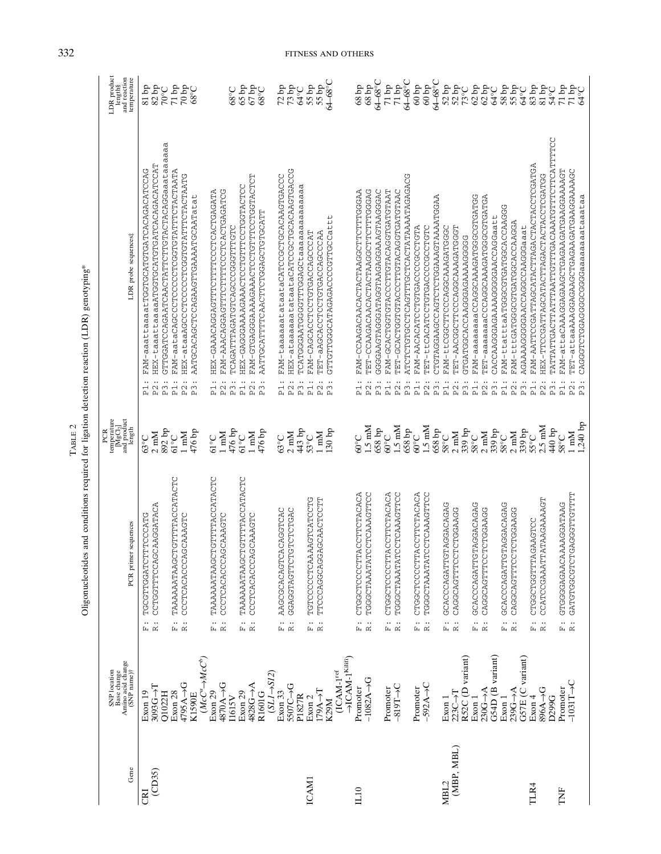|                                                     | $\frac{1}{2}$                                                                             |
|-----------------------------------------------------|-------------------------------------------------------------------------------------------|
|                                                     |                                                                                           |
| $\begin{bmatrix} 1 & 1 \\ 1 & 1 \end{bmatrix}$<br>ŀ |                                                                                           |
|                                                     | j                                                                                         |
|                                                     | くうちん へんかい                                                                                 |
|                                                     | ֧֧֧֧֧֧֧֧֧֧֧֧֛֧֧֧֧֧֧֧֧֚֚֚֚֚֚֚֚֚֚֚֚֚֚֚֚֚֚֚֚֚֚֚֚֚֡֝֝֓֝֓֝֓֝֓֝֓֝֓֝֓֝֓֝֬֝֓֝֓֝֬֝֬֝֬֝֬֝֬֝֬֝֬<br>Í |

| LDR product<br>length§<br>and reaction<br>temperature                  | $qd$ rs<br>$82$ bp<br><b>200L</b>                                                                                                                               | $70\,\mathrm{bp}$<br>$71$ bp                                                              | $68^{\circ}$ C                             |                                                  | 0.89                                                                              | $65$ bp                                           | 67 bp<br>68°C                                                                        | $72\,\mathrm{bp}$                              | $73$ bp<br>64°C                                                                         | $55$ bp                             | 55 bp                                    | 64-68°C                                             | $68\,\mathrm{bp}$                              | $68 b\bar{p}$                                 | $64 - 68^{\circ}$ C                     | $71\,\mathrm{bp}$                              | 71bp                                           | $64 - 68^{\circ}$ C                           | $60\,\mathrm{bp}$                                                              | $64 - 68$ °C<br>$60 b$ p                                                                |                                    | $52 bp$<br>$52 bp$                                                                | 73°C                          | $62\,\mathrm{bp}$ $62\,\mathrm{bp}$                                           |                                           | 64°C                                 | $58\,\mathrm{bp}$                             | 55bp<br>64°C                                                                | $83\ \mathrm{bp}$                                | $81\,\mathrm{bp}$                              | $54^{\circ}$ C                                         | $71\,\mathrm{bp}$<br>71 bp                                                                                              | 64°C                                |
|------------------------------------------------------------------------|-----------------------------------------------------------------------------------------------------------------------------------------------------------------|-------------------------------------------------------------------------------------------|--------------------------------------------|--------------------------------------------------|-----------------------------------------------------------------------------------|---------------------------------------------------|--------------------------------------------------------------------------------------|------------------------------------------------|-----------------------------------------------------------------------------------------|-------------------------------------|------------------------------------------|-----------------------------------------------------|------------------------------------------------|-----------------------------------------------|-----------------------------------------|------------------------------------------------|------------------------------------------------|-----------------------------------------------|--------------------------------------------------------------------------------|-----------------------------------------------------------------------------------------|------------------------------------|-----------------------------------------------------------------------------------|-------------------------------|-------------------------------------------------------------------------------|-------------------------------------------|--------------------------------------|-----------------------------------------------|-----------------------------------------------------------------------------|--------------------------------------------------|------------------------------------------------|--------------------------------------------------------|-------------------------------------------------------------------------------------------------------------------------|-------------------------------------|
| LDR probe sequences#                                                   | GTTGGATCCAGAATCAACTATTCTTGTACTACAGGaaataaaaaa<br>HEX-taaattaaaaATGGTGCATGDATCACAGACATCCAT<br>FAM-aaattaaaatTGGTGCATGATCACACACATCCAT<br>P2:<br>P3:<br>$\ddot{E}$ | FAM-aataCAGCCCCCCCCGGTGTATTCTACTAATA<br>HEX-ataaAGCCCCCCCCGGTGTATTCTACTAATG<br>P2:<br>pi: | AATGCACACCTCCAGAAGTTGAAAATGCAATatat<br>P3: | HEX-GAAACAGGAGTTTTTTCCCCOACTGAGATA<br>$\Xi$      | FAM-AAACAGGAGTTTCTTTCCTCACTGAGATCG<br>しけひけけけのひしししりかねしけのけみりみけけけれい<br>$P2$ :<br>P3: | HEX-GAAAAAAAAAAAAAAAAAAAAAADOOOOGO-XHE<br>P1:     | FAM-GTGAGGAAAAGAAACTCTTGTTTCCTGGTACTCT<br>AATTGCATTTCAACHOURGOODOFFERE<br>P3:<br>P2: | FAM-taaaaaatataataCATCCGCTGCACAAGTGACCC<br>P1: | HEX-ataaaaaatataataCATCCCTGCACAAGTGACCG<br>TCATGGGAATGGGGCOACHARAAAAAAAAA<br>P2:<br>P3: | FAM-CAGCACCTORCCACCAGCCCC<br>$P1$ : | TET-aAGCACCTGTGACCAGCCCAA<br>P2:         | GTTGTTGGCATAGAGACCCCTTGCCattt<br>P3:                | FAM-CCAAGACAACACTACTAAGCTTCTTTGGGAA<br>P1:     | TET-CCAAGACAACTACTAACHOOTTCTTCGGGAG<br>P2:    | OGOORATDAAGDAAGDAADOORFDAAGDDOOD<br>P3: | FAM-GCACTGGTGTACCTTGTACAGGTGATGTAAT<br>P1:     | TET-GCACCACCTONCEODECTOROM<br>$\mathbf{p}$     | ATCTCTGCCCTGCAGTTGCTCACTATAAAATAGAGACG<br>P3: | FAM-AACACATCCTGACCCCCCTGTA<br>$\mathbb{P}1$ :                                  | CTGTAAGGAAGCCAGTCTGAAAGTAAAATGGAA<br>TET-ttCACATGTGACCCCCCTGTC<br>P3:<br>P <sub>2</sub> | FAM-ttCGGCTTCCCAGCAAAGATGGC<br>P1: | TET-AACGGCACCACAAAGATGGT<br>P2:                                                   | COORARAARCOROCOOPOFICO<br>P3: | FAM-aaaaaaaaCCAGGCAAAGATGGCGTGATGG<br>P1:                                     | TET-aaaaaaaCCCAGGCAAAGATGGCGTGATGA<br>P2: | CACCAAGGAAAAAGGGGGAACCAGGaatt<br>P3: | FAM-ttatttaATGGCGTGATGCACCAAGGG<br>$\ddot{P}$ | FAM-tttGATGGCGTGATGCACCAGGA<br>AGAAAAGGGGAACCAGCCAAGGGaaat<br>$P2$ :<br>P3: | FAM-AATTCCGATTAGCATACTTAGACTACCACCCCGATGA<br>pi: | HEX-TTCCGATTAGCATACTTAGACTACTACCTCGATGG<br>P2: | TATTATTGACTTATTTAATTGTTGACAAATGTTTCTTCATTTCT<br>$P3$ : | FAM-attaCAAAGGAGAAGCTGAGAAGATGAAGGAAAAGT<br>TET-attaaAAAGGAGAAGCTGAGAAGATGAAGGAAAAGC<br>$\frac{1}{2}$<br>P <sup>2</sup> | CAGGGTCGGGGGGGaaaaaaaataataa<br>P3: |
| temperature<br>[MgCl <sub>2</sub> ]<br>and product<br>length<br>PCR    | 892 bp<br>$2 \text{ mM}$<br>$63^{\circ}$ C                                                                                                                      | $1 \text{ mM}$<br>$61^{\circ}$ C                                                          | 476 bp                                     | $61^{\circ}$ C                                   | 476 bp<br>$1 \text{ mM}$                                                          | $61^{\circ}$ C                                    | 476 bp<br>$1 \text{ mM}$                                                             | $63^{\circ}$ C                                 | 443 bp<br>$2 \text{ mM}$                                                                | $53^{\circ}$ C                      | $1 \text{ mM}$                           | 130 bp                                              | $60^{\circ}$ C                                 | $1.5 \text{ }\mathrm{mM}$                     | $658$ bp                                | $60^{\circ}$ C                                 | $1.5 \text{ }\mathrm{mM}$                      | 658 bp                                        | $60^{\circ}$ C                                                                 | $1.5 \text{ mM}$<br>$658$ bp                                                            | $58^{\circ}$ C                     | $2 \text{ mM}$                                                                    | 339 bp                        | $58^{\circ}$ C                                                                | $2 \text{ mM}$                            | 339 bp                               | $58^{\circ}C$                                 | 339 bp<br>$2 \text{ mM}$                                                    | $5^{\circ}C$                                     | $2.5 \text{ mM}$                               | $440$ bp                                               | $1 \text{ mM}$<br>$58^{\circ}$ C                                                                                        | $1,240$ bp                          |
| PCR primer sequences                                                   | CCTGGTTCCAGCAAGGATACA<br>TGCGTTGGATCTTTCCATG<br>$\ddot{\tilde{E}}$ , $\dddot{\tilde{E}}$                                                                        | CTGTTTTACCATACTC<br>CCCTCACACCACAAAAGTC<br>TAAAAAATAAG<br>$\vdots$ $\vdots$               |                                            | TAAAAAATAAGCTGTTTACCATACTC<br>$\ddot{\tilde{h}}$ | CCCTCACACCAGCAAAGTC<br>$\ddot{\text{R}}$ :                                        | TAAAAAATAAGCTGTTTACCATACTC<br>$\ddot{\mathbf{r}}$ | CCCTCACACCCAGCAAAGTC<br>$\ddot{\text{R}}$                                            | <b>CACAGTCAC</b><br>AAGCGCACAGT<br>j.          | GGAGGTAGTTCTCTCTCAC<br>$\ddot{\text{R}}$                                                | TGTCCCCCTCAAAGTCATCCTCCTC           | GAGCAACTCCTT<br>TTCCCAGGCAG<br><br>Fi 22 |                                                     | CTGGCTCCCTTACCTTCTACACA<br>$\ddot{\mathbf{r}}$ | TGGGCTAAATATCCAAAGTTCC<br>$\ddot{\mathbf{z}}$ |                                         | CTGGCTCCCTTACCTTCTACACA<br>$\ddot{\mathbf{r}}$ | TGGGCTAAATATCCTCAAAGTTCC<br>$\ddot{\tilde{z}}$ |                                               | CTGGCTCCCTTACCTTCTACACA<br>$\begin{array}{c} \vdots \\ \mathbb{E} \end{array}$ | TGGGCTAAATATCCTCAAAGTTCC                                                                | GCACCCAGATTGTAGGACAGAG             | CAGCAGTTCCTCTGAAGG<br>$\begin{array}{c} \ldots \\ \boxdot \; \boxdot \end{array}$ |                               | GCACCCAGATTGTAGGACAGAG<br>$\begin{array}{c} \vdots \\ \mathbb{E} \end{array}$ | CAGGCAGTTCCTCGAAGG                        |                                      | GCACCAGAGTAGACAGAGAG<br>$\ddot{\tilde{E}}$    | CAGGCAGTTCCTCCTGAAGG<br>$\ddot{\text{R}}$ :                                 | CTGGCTGGTTTAGAAGTCC<br>$\vdots$ $\vdots$         | CCATCCGAAATTATAAGAAAAGT                        |                                                        | GATGTGGGCGTCHOAGGTTGTTT<br>GTGGGAGAACAAAAGGATAAG<br>$\begin{array}{c}  &  \\ \hline \dots & \hline \dots \end{array}$   |                                     |
| Base change<br>Amino acid change<br>(SNP name)†<br><b>SNP</b> location | $3093G + T$<br>Exon 19<br>Q1022H                                                                                                                                | $4795A \rightarrow G$<br>Exon 28                                                          | $(McC^a \rightarrow McC^b)$<br>K1590E      | Exon 29                                          | 4870A->G<br>$11615V$                                                              | Exon 29                                           | $(SLI\rightarrow SI2)$<br>$4828G \rightarrow A$<br>R1601G                            | Exon 33                                        | $5507C \rightarrow G$<br>P1827R                                                         | Exon <sub>2</sub>                   | $ITAA \rightarrow T$                     | $\rightarrow$ ICAM-1Kilifi<br>$(ICAM-1ref)$<br>K29M | Promoter                                       | $-1082A - G$                                  |                                         | Promoter                                       | $-819T - C$                                    |                                               | Promoter                                                                       | $-592A \rightarrow C$                                                                   | Exon 1                             | $223C \rightarrow T$                                                              | R52C (D variant)              | Exon 1                                                                        | $230G - A$                                | G54D (B variant)                     | Exon 1                                        | G57E (C variant)<br>$239G - A$                                              | Exon 4                                           | 896A->G                                        | D299G                                                  | $-1031T + C$<br>Promoter                                                                                                |                                     |
| Gene                                                                   | (CD35)<br>CRI                                                                                                                                                   |                                                                                           |                                            |                                                  |                                                                                   |                                                   |                                                                                      |                                                |                                                                                         | <b>ICAM1</b>                        |                                          |                                                     | IL10                                           |                                               |                                         |                                                |                                                |                                               |                                                                                |                                                                                         | MBL2                               | (MBP, MBL)                                                                        |                               |                                                                               |                                           |                                      |                                               |                                                                             | TLR4                                             |                                                |                                                        | TNF                                                                                                                     |                                     |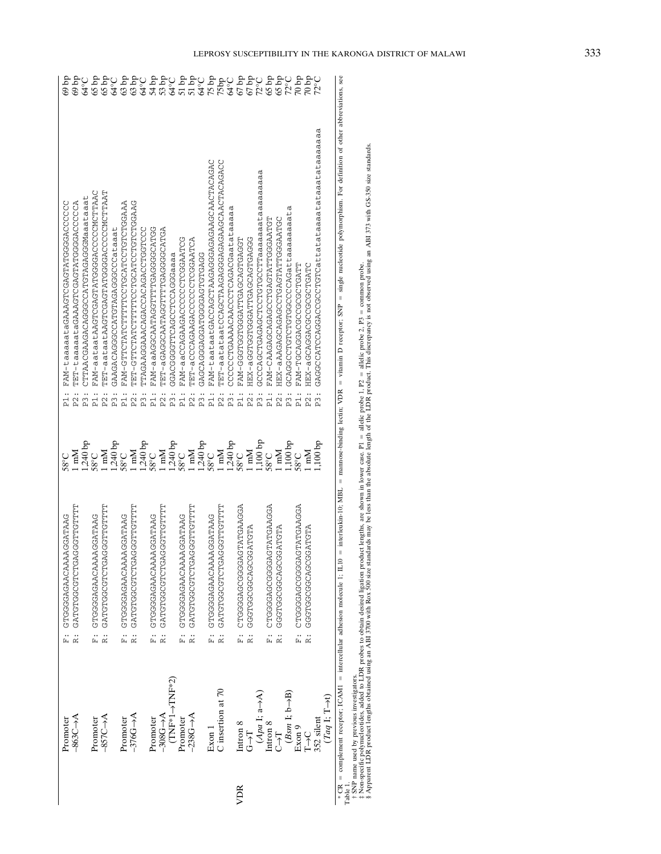|     | Promoter                                                                    |                     | F: CTGGGGAGAACAACAACGATAAG    | $58^{\circ}$ C                                                                          | i.<br>Ed         | FAM-taaaaataGAAAGTCGAGGGGACCCCCC                                                                                                                           | $69$ bp                                     |
|-----|-----------------------------------------------------------------------------|---------------------|-------------------------------|-----------------------------------------------------------------------------------------|------------------|------------------------------------------------------------------------------------------------------------------------------------------------------------|---------------------------------------------|
|     | $-863C - A$                                                                 | <br>2               | FFFFFGFFGGGGGFGFGCGGFGFGF     | Mm                                                                                      | P <sub>2</sub> : | TET-taaaaaataGAAAGTCGAGGGGCCCCCA                                                                                                                           | $qd$ 69                                     |
|     |                                                                             |                     |                               | $1,240$ bp $58^{\circ} \mathrm{C}$                                                      | P <sub>3</sub> : | CTTRACGAAGACGCCATGTAGAGGGMaaataaat                                                                                                                         | 64°C                                        |
|     | Promoter                                                                    |                     | F: GTGGGGAGAAAAAGGATAAG       |                                                                                         | p <sub>1</sub> : | FAM-aatadSGGGGGGCCCCCCCCCCCCCCCCCCCCCCCCC                                                                                                                  |                                             |
|     | $-857C \rightarrow A$                                                       | $\ddot{\mathbf{z}}$ | FFFFFGFFSSSASFSFSSSSFSFSF     | M <sub>m</sub>                                                                          | $P2$ :           | TET-aataatAAGTCGAGGGGCCCCCCMCTTAAT                                                                                                                         | $65bp$<br>$65bp$                            |
|     |                                                                             |                     |                               | $\frac{1,240}{58\,^{\circ}\mathrm{C}}$ 1 mM                                             | P3:              |                                                                                                                                                            | $64^{\circ}$ C                              |
|     | Promoter                                                                    |                     | F: GTGGGGAGAACAAAAGGATAAG     |                                                                                         | P1:              | ARACOLOLOLOLOULAOOLOLLELLEULAEOLLEU – NAL                                                                                                                  | $63$ bp                                     |
|     | $-376G - A$                                                                 | $\ddot{\tilde{z}}$  | FFFFFGFFGGGAGFCFGCGGFGFAG     |                                                                                         | $P2$ :           | じょうじりけいけいけいいけんじゅけいいけけけけけいけんけいけいしょ                                                                                                                          |                                             |
|     |                                                                             |                     |                               |                                                                                         | P <sub>3</sub> : | LIAGAAGAACACACACACACOOCHCCC                                                                                                                                | 63 bp<br>64°C                               |
|     | Promoter                                                                    | <br>Eq              | GTGGGAGAACAACAACOSOO          | $1,240$ bp $58^{\circ}\mathrm{C}$                                                       | $\frac{1}{2}$    | CODRYOOOOOGODEDDDOGDRYQOOOGRE-NRA                                                                                                                          | $54 b$ p<br>$53 b$ p                        |
|     | $-308$ C $-4$ A                                                             | $\ddot{\tilde{z}}$  | FTFFFGFFGGGAGFCFGCGGFGFSF     | M <sub>m</sub>                                                                          | P2:              | ADHADDDDDADHHHHDDAHAADDDADE-HEH                                                                                                                            |                                             |
|     | $(TNF*1 \rightarrow TNF*2)$                                                 |                     |                               |                                                                                         | P <sub>3</sub> : |                                                                                                                                                            |                                             |
|     | Promoter                                                                    |                     | F: GTGGGGAGAAAAAGGATAAG       | $1,240$ bp $58^\circ\text{C}$                                                           | i.<br>Fi         | COCACACACACACACOCOCOCOCACA                                                                                                                                 |                                             |
|     | $-238$ G $-4$ A                                                             | $\ddot{\tilde{z}}$  | TTTTDTTCOOKOLOFOOOOFOFKO      | M <sub>m</sub>                                                                          | $P2$ :           | AULARUUUUUUUUUUNUAUKUUUUR-LHHL                                                                                                                             |                                             |
|     |                                                                             |                     |                               | $\frac{1,240}{58\,^{\circ}\mathrm{C}}$ 1 mM                                             | P3:              | UURULULURUUUULRUURUUURUURU                                                                                                                                 |                                             |
|     | Exon 1                                                                      |                     | F: GTGGGGAGAACAAAAGGATAAG     |                                                                                         | $\frac{1}{2}$    | EAM-taataadAGAGAGAGCOAGAGAGAGCOAGAGAGAGCAAGCAGAC                                                                                                           | $75$ bp                                     |
|     | C insertion at 70                                                           | $\ddot{\mathbf{z}}$ | FFFFFGFFGGGAGFCFGCGGFGFGFG    |                                                                                         | $P2$ :           | TET-aatatoCCAGCTAAGGAGAGAAGCAACTAACTAACTA                                                                                                                  | 75bp<br>64°C                                |
|     |                                                                             |                     |                               |                                                                                         | P <sub>3</sub> : | CCCCCCTGAAAACAACCTCACGaatataaaaaa                                                                                                                          |                                             |
| VDR | Intron 8                                                                    |                     | F: CTCGGGGGGCOOOOOCAGAGGA     | $\begin{array}{c} 1,240\;\mathrm{bp}\\ 58^\circ\mathrm{C}\\ 1\;\mathrm{mM} \end{array}$ | it<br>Fi         | HUUKUHUKUUKUHHKUUUHUUHUUU - NKH                                                                                                                            | $67$ bp<br>$67$ bp<br>$72$ C                |
|     | $\overline{C}$                                                              | $\ddot{\mathbf{z}}$ | AHUHAUUUUUUUUUUUUUUU          |                                                                                         | P <sub>2</sub> : | ひひひえひ L ひえひひえひ L L えひひひ L ひひし L ひひの = X H H                                                                                                                |                                             |
|     | $(Apa$ I; a $\neg A)$                                                       |                     |                               | $1,100$ bp $58^{\circ} \mathrm{C}$                                                      | P <sub>3</sub> : | GCCCCCAGAGAGCTCCTCCTTaaaaaaaaataaaaaaaaa                                                                                                                   |                                             |
|     | Intron 8                                                                    | <br>Li              | <b>AUUAYUHAHUAUUUUUUUUUUU</b> |                                                                                         | p1:              | HOHRROODHHRHOROHOOOROROORORDHIRE                                                                                                                           | $65$ bp<br>$72^{\circ}$ C<br>$72^{\circ}$ C |
|     | $\overline{C}$                                                              |                     | ALCHOROCOCOODOODODO           | M <sub>m</sub>                                                                          | $P2$ :           | HEX-aAAGAGAGCAGCUOAGTATTATOGAARTG                                                                                                                          |                                             |
|     | $(Bsm 1; b\rightarrow B)$                                                   |                     |                               | $1,100$ bp                                                                              | P <sub>3</sub> : | GCAGGCCTGTGTGCCCCCAGattaaaaaaaata                                                                                                                          |                                             |
|     | Exon 9                                                                      |                     | AUUARUHAHUAUUUUUUUUUUUUU      | 2.88                                                                                    | $\frac{1}{2}$    | HHKUHUUUUUUUUKUUKUUH-IRKE                                                                                                                                  | $70\,\mathrm{fb}$                           |
|     | $T\rightarrow C$                                                            | $\ddot{\tilde{z}}$  | ALDLADDUDAUDDUDDLDDD          | Mm                                                                                      | $P\ddot{2}$      |                                                                                                                                                            | $\frac{1}{22}$                              |
|     | 352 silent                                                                  |                     |                               | $100$ bp                                                                                | P3:              | GAGCGCAGGAGGACCTGTGattataaaatataaatataaaaaaaa                                                                                                              |                                             |
|     | $(Taq \, I; T\rightarrow t)$                                                |                     |                               |                                                                                         |                  |                                                                                                                                                            |                                             |
|     | * CR = complement receptor; ICAM1 = intercellular adhesion molecule 1; IL10 |                     |                               |                                                                                         |                  | = interleukin-10; MBL = mannose-binding lectin; VDR = vitamin D receptor; SNP = single nucleotide polymorphism. For definition of other abbreviations, see |                                             |

SNP name used by previous investigators.

Table 1.<br>†SNF<br>‡¤S Ap¤<br>§ Non-specific polynucleotides, added to LDR probes to obtain desired ligation product lengths, are shown in lower case. P1 allelic probe 1, P2 allelic probe 2, P3 common probe. § Apparent LDR product lengths obtained using an ABI 3700 with Rox 500 size standards may be less than the absolute length of the LDR product. This discrepancy is not observed using an ABI 373 with GS-350 size standards.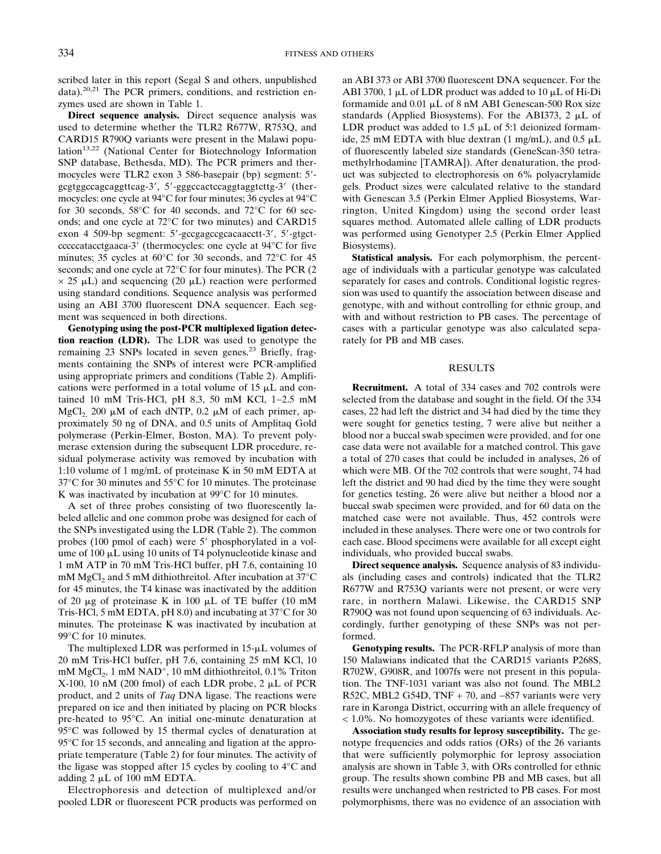scribed later in this report (Segal S and others, unpublished data).<sup>20,21</sup> The PCR primers, conditions, and restriction enzymes used are shown in Table 1.

**Direct sequence analysis.** Direct sequence analysis was used to determine whether the TLR2 R677W, R753Q, and CARD15 R790Q variants were present in the Malawi population<sup>13,22</sup> (National Center for Biotechnology Information SNP database, Bethesda, MD). The PCR primers and thermocycles were TLR2 exon 3 586-basepair (bp) segment: 5'gcgtggccagcaggttcag-3', 5'-gggccactccaggtaggtcttg-3' (thermocycles: one cycle at 94°C for four minutes; 36 cycles at 94°C for 30 seconds, 58°C for 40 seconds, and 72°C for 60 seconds; and one cycle at 72°C for two minutes) and CARD15 exon 4 509-bp segment: 5'-gccgagccgcacaacctt-3', 5'-gtgctcccccatacctgaaca-3- (thermocycles: one cycle at 94°C for five minutes; 35 cycles at 60°C for 30 seconds, and 72°C for 45 seconds; and one cycle at 72°C for four minutes). The PCR (2  $\times$  25  $\mu$ L) and sequencing (20  $\mu$ L) reaction were performed using standard conditions. Sequence analysis was performed using an ABI 3700 fluorescent DNA sequencer. Each segment was sequenced in both directions.

**Genotyping using the post-PCR multiplexed ligation detection reaction (LDR).** The LDR was used to genotype the remaining 23 SNPs located in seven genes.<sup>23</sup> Briefly, fragments containing the SNPs of interest were PCR-amplified using appropriate primers and conditions (Table 2). Amplifications were performed in a total volume of  $15 \mu L$  and contained 10 mM Tris-HCl, pH 8.3, 50 mM KCl, 1−2.5 mM MgCl<sub>2</sub>, 200  $\mu$ M of each dNTP, 0.2  $\mu$ M of each primer, approximately 50 ng of DNA, and 0.5 units of Amplitaq Gold polymerase (Perkin-Elmer, Boston, MA). To prevent polymerase extension during the subsequent LDR procedure, residual polymerase activity was removed by incubation with 1:10 volume of 1 mg/mL of proteinase K in 50 mM EDTA at 37°C for 30 minutes and 55°C for 10 minutes. The proteinase K was inactivated by incubation at 99°C for 10 minutes.

A set of three probes consisting of two fluorescently labeled allelic and one common probe was designed for each of the SNPs investigated using the LDR (Table 2). The common probes (100 pmol of each) were 5' phosphorylated in a volume of  $100 \mu L$  using 10 units of T4 polynucleotide kinase and 1 mM ATP in 70 mM Tris-HCl buffer, pH 7.6, containing 10 mM MgCl<sub>2</sub> and 5 mM dithiothreitol. After incubation at  $37^{\circ}$ C for 45 minutes, the T4 kinase was inactivated by the addition of 20  $\mu$ g of proteinase K in 100  $\mu$ L of TE buffer (10 mM Tris-HCl, 5 mM EDTA, pH 8.0) and incubating at 37°C for 30 minutes. The proteinase K was inactivated by incubation at 99°C for 10 minutes.

The multiplexed LDR was performed in  $15-\mu L$  volumes of 20 mM Tris-HCl buffer, pH 7.6, containing 25 mM KCl, 10 mM  $MgCl<sub>2</sub>$ , 1 mM  $NAD<sup>+</sup>$ , 10 mM dithiothreitol, 0.1% Triton X-100, 10 nM (200 fmol) of each LDR probe,  $2 \mu L$  of PCR product, and 2 units of *Taq* DNA ligase. The reactions were prepared on ice and then initiated by placing on PCR blocks pre-heated to 95°C. An initial one-minute denaturation at 95°C was followed by 15 thermal cycles of denaturation at 95°C for 15 seconds, and annealing and ligation at the appropriate temperature (Table 2) for four minutes. The activity of the ligase was stopped after 15 cycles by cooling to 4°C and adding  $2 \mu L$  of 100 mM EDTA.

Electrophoresis and detection of multiplexed and/or pooled LDR or fluorescent PCR products was performed on an ABI 373 or ABI 3700 fluorescent DNA sequencer. For the ABI 3700, 1  $\mu$ L of LDR product was added to 10  $\mu$ L of Hi-Di formamide and  $0.01 \mu L$  of 8 nM ABI Genescan-500 Rox size standards (Applied Biosystems). For the ABI373, 2  $\mu$ L of LDR product was added to 1.5  $\mu$ L of 5:1 deionized formamide, 25 mM EDTA with blue dextran  $(1 \text{ mg/mL})$ , and  $0.5 \mu L$ of fluorescently labeled size standards (GeneScan-350 tetramethylrhodamine [TAMRA]). After denaturation, the product was subjected to electrophoresis on 6% polyacrylamide gels. Product sizes were calculated relative to the standard with Genescan 3.5 (Perkin Elmer Applied Biosystems, Warrington, United Kingdom) using the second order least squares method. Automated allele calling of LDR products was performed using Genotyper 2.5 (Perkin Elmer Applied Biosystems).

**Statistical analysis.** For each polymorphism, the percentage of individuals with a particular genotype was calculated separately for cases and controls. Conditional logistic regression was used to quantify the association between disease and genotype, with and without controlling for ethnic group, and with and without restriction to PB cases. The percentage of cases with a particular genotype was also calculated separately for PB and MB cases.

# RESULTS

**Recruitment.** A total of 334 cases and 702 controls were selected from the database and sought in the field. Of the 334 cases, 22 had left the district and 34 had died by the time they were sought for genetics testing, 7 were alive but neither a blood nor a buccal swab specimen were provided, and for one case data were not available for a matched control. This gave a total of 270 cases that could be included in analyses, 26 of which were MB. Of the 702 controls that were sought, 74 had left the district and 90 had died by the time they were sought for genetics testing, 26 were alive but neither a blood nor a buccal swab specimen were provided, and for 60 data on the matched case were not available. Thus, 452 controls were included in these analyses. There were one or two controls for each case. Blood specimens were available for all except eight individuals, who provided buccal swabs.

**Direct sequence analysis.** Sequence analysis of 83 individuals (including cases and controls) indicated that the TLR2 R677W and R753Q variants were not present, or were very rare, in northern Malawi. Likewise, the CARD15 SNP R790Q was not found upon sequencing of 63 individuals. Accordingly, further genotyping of these SNPs was not performed.

**Genotyping results.** The PCR-RFLP analysis of more than 150 Malawians indicated that the CARD15 variants P268S, R702W, G908R, and 1007fs were not present in this population. The TNF-1031 variant was also not found. The MBL2 R52C, MBL2 G54D, TNF + 70, and −857 variants were very rare in Karonga District, occurring with an allele frequency of < 1.0%. No homozygotes of these variants were identified.

**Association study results for leprosy susceptibility.** The genotype frequencies and odds ratios (ORs) of the 26 variants that were sufficiently polymorphic for leprosy association analysis are shown in Table 3, with ORs controlled for ethnic group. The results shown combine PB and MB cases, but all results were unchanged when restricted to PB cases. For most polymorphisms, there was no evidence of an association with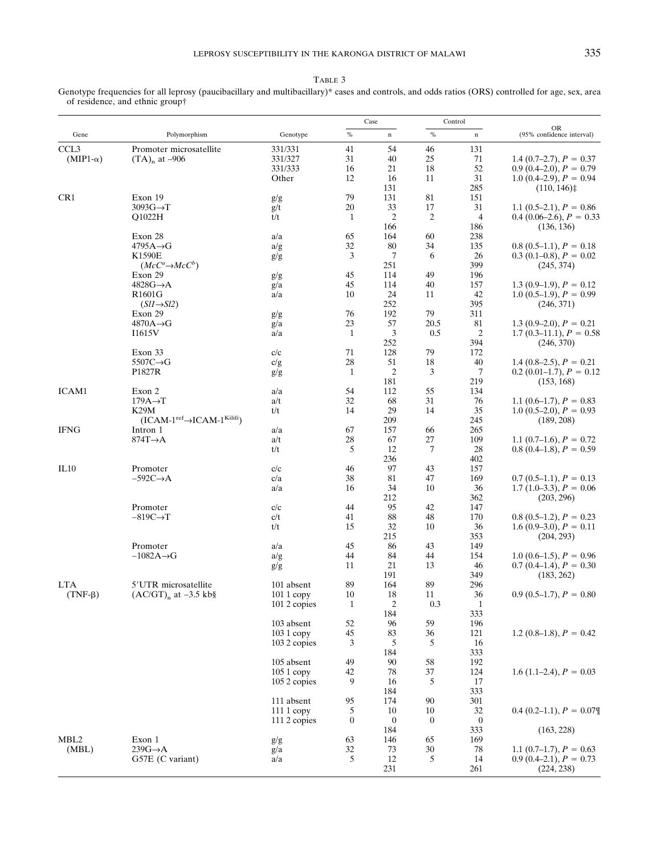### TABLE 3

Genotype frequencies for all leprosy (paucibacillary and multibacillary)\* cases and controls, and odds ratios (ORS) controlled for age, sex, area of residence, and ethnic group†

|                     |                                       |              |                  | Case             |                | Control          |                                        |
|---------------------|---------------------------------------|--------------|------------------|------------------|----------------|------------------|----------------------------------------|
| Gene                | Polymorphism                          | Genotype     | $\%$             | $\mathbf n$      | $\%$           | $\mathbf n$      | <b>OR</b><br>(95% confidence interval) |
| CCL <sub>3</sub>    | Promoter microsatellite               | 331/331      | 41               | 54               | 46             | 131              |                                        |
| $(MIP1-\alpha)$     | $(TA)_{n}$ at -906                    | 331/327      | 31               | 40               | 25             | 71               | 1.4 $(0.7–2.7)$ , $P = 0.37$           |
|                     |                                       | 331/333      | 16               | 21               | 18             | 52               | $0.9(0.4-2.0), P = 0.79$               |
|                     |                                       | Other        | 12               | 16               | 11             | 31               | 1.0 $(0.4-2.9)$ , $P = 0.94$           |
|                     |                                       |              |                  | 131              |                | 285              | (110, 146)                             |
| CR1                 | Exon 19                               | g/g          | 79               | 131              | 81             | 151              |                                        |
|                     | $3093G \rightarrow T$                 | g/t          | 20               | 33               | 17             | 31               | 1.1 $(0.5-2.1)$ , $P = 0.86$           |
|                     | Q1022H                                | t/t          | $\mathbf{1}$     | $\mathfrak{2}$   | $\overline{2}$ | $\overline{4}$   | $0.4(0.06-2.6), P = 0.33$              |
|                     |                                       |              |                  | 166              |                | 186              | (136, 136)                             |
|                     | Exon 28                               | a/a          | 65               | 164              | 60             | 238              |                                        |
|                     | $4795A \rightarrow G$<br>K1590E       | a/g          | 32<br>3          | 80<br>7          | 34<br>6        | 135              | $0.8$ (0.5–1.1), $P = 0.18$            |
|                     | $(McC^a \rightarrow McC^b)$           | g/g          |                  | 251              |                | 26<br>399        | $0.3(0.1-0.8), P = 0.02$<br>(245, 374) |
|                     | Exon 29                               | g/g          | 45               | 114              | 49             | 196              |                                        |
|                     | $4828G \rightarrow A$                 | g/a          | 45               | 114              | 40             | 157              | 1.3 $(0.9-1.9)$ , $P = 0.12$           |
|                     | R1601G                                | a/a          | 10               | 24               | 11             | 42               | $1.0 (0.5-1.9), P = 0.99$              |
|                     | $(Sl1 \rightarrow Sl2)$               |              |                  | 252              |                | 395              | (246, 371)                             |
|                     | Exon 29                               | g/g          | 76               | 192              | 79             | 311              |                                        |
|                     | $4870A \rightarrow G$                 | g/a          | 23               | 57               | 20.5           | 81               | 1.3 $(0.9-2.0)$ , $P = 0.21$           |
|                     | I1615V                                | a/a          | $\mathbf{1}$     | 3                | 0.5            | $\overline{c}$   | 1.7 $(0.3-11.1)$ , $P = 0.58$          |
|                     |                                       |              |                  | 252              |                | 394              | (246, 370)                             |
|                     | Exon 33                               | c/c          | 71               | 128              | 79             | 172              |                                        |
|                     | $5507C \rightarrow G$                 | c/g          | 28               | 51               | 18             | 40               | 1.4 $(0.8-2.5)$ , $P = 0.21$           |
|                     | P1827R                                | g/g          | $\mathbf{1}$     | $\mathfrak{2}$   | 3              | 7                | $0.2$ (0.01–1.7), $P = 0.12$           |
|                     |                                       |              |                  | 181              |                | 219              | (153, 168)                             |
| ICAM1               | Exon 2                                | a/a          | 54               | 112              | 55             | 134              |                                        |
|                     | $179A \rightarrow T$                  | a/t          | 32               | 68               | 31             | 76               | 1.1 $(0.6-1.7)$ , $P = 0.83$           |
|                     | <b>K29M</b>                           | t/t          | 14               | 29               | 14             | 35               | $1.0 (0.5-2.0), P = 0.93$              |
|                     | $(ICAM-1ref\rightarrow ICAM-1Kilifi)$ |              |                  | 209              |                | 245              | (189, 208)                             |
| <b>IFNG</b><br>IL10 | Intron 1                              | a/a          | 67               | 157              | 66             | 265              |                                        |
|                     | $874T \rightarrow A$                  | a/t          | 28               | 67               | 27             | 109              | 1.1 $(0.7-1.6)$ , $P = 0.72$           |
|                     |                                       | t/t          | 5                | 12               | 7              | 28               | $0.8(0.4-1.8), P = 0.59$               |
|                     | Promoter                              |              |                  | 236<br>97        | 43             | 402<br>157       |                                        |
|                     | $-592C \rightarrow A$                 | c/c<br>c/a   | 46<br>38         | 81               | 47             | 169              | $0.7(0.5-1.1), P = 0.13$               |
|                     |                                       | a/a          | 16               | 34               | 10             | 36               | $1.7(1.0-3.3), P = 0.06$               |
|                     |                                       |              |                  | 212              |                | 362              | (203, 296)                             |
|                     | Promoter                              | c/c          | 44               | 95               | 42             | 147              |                                        |
|                     | $-819C \rightarrow T$                 | c/t          | 41               | 88               | 48             | 170              | $0.8(0.5-1.2), P = 0.23$               |
|                     |                                       | t/t          | 15               | 32               | 10             | 36               | $1.6(0.9-3.0), P = 0.11$               |
|                     |                                       |              |                  | 215              |                | 353              | (204, 293)                             |
|                     | Promoter                              | a/a          | 45               | 86               | 43             | 149              |                                        |
|                     | $-1082A \rightarrow G$                | a/g          | 44               | 84               | 44             | 154              | $1.0 (0.6-1.5), P = 0.96$              |
|                     |                                       | g/g          | 11               | 21               | 13             | 46               | $0.7(0.4-1.4), P = 0.30$               |
|                     |                                       |              |                  | 191              |                | 349              | (183, 262)                             |
| <b>LTA</b>          | 5'UTR microsatellite                  | 101 absent   | 89               | 164              | 89             | 296              |                                        |
| $(TNF-\beta)$       | $(AC/GT)n$ at $-3.5$ kb§              | 101 1 copy   | $10\,$           | 18               | 11             | 36               | $0.9(0.5-1.7), P = 0.80$               |
|                     |                                       | 101 2 copies | $\mathbf{1}$     | 2                | 0.3            | $\mathbf{1}$     |                                        |
|                     |                                       |              |                  | 184              |                | 333              |                                        |
|                     |                                       | 103 absent   | 52               | 96               | 59             | 196              |                                        |
|                     |                                       | 103 1 copy   | 45               | 83               | 36             | 121              | 1.2 (0.8–1.8), $P = 0.42$              |
|                     |                                       | 1032 copies  | 3                | 5<br>184         | 5              | 16<br>333        |                                        |
|                     |                                       | 105 absent   | 49               | 90               | 58             | 192              |                                        |
|                     |                                       | 105 1 copy   | 42               | 78               | 37             | 124              | 1.6 $(1.1-2.4)$ , $P = 0.03$           |
|                     |                                       | 105 2 copies | 9                | 16               | 5              | 17               |                                        |
|                     |                                       |              |                  | 184              |                | 333              |                                        |
|                     |                                       | 111 absent   | 95               | 174              | 90             | 301              |                                        |
|                     |                                       | $1111$ copy  | 5                | 10               | 10             | 32               | $0.4$ (0.2–1.1), $P = 0.07$ \[         |
|                     |                                       | 111 2 copies | $\boldsymbol{0}$ | $\boldsymbol{0}$ | $\mathbf{0}$   | $\boldsymbol{0}$ |                                        |
|                     |                                       |              |                  | 184              |                | 333              | (163, 228)                             |
| MBL <sub>2</sub>    | Exon 1                                | g/g          | 63               | 146              | 65             | 169              |                                        |
| (MBL)               | $239G \rightarrow A$                  | g/a          | 32               | 73               | 30             | 78               | 1.1 $(0.7-1.7)$ , $P = 0.63$           |
|                     | G57E (C variant)                      | a/a          | 5                | 12               | 5              | 14               | $0.9(0.4-2.1), P = 0.73$               |
|                     |                                       |              |                  | 231              |                | 261              | (224, 238)                             |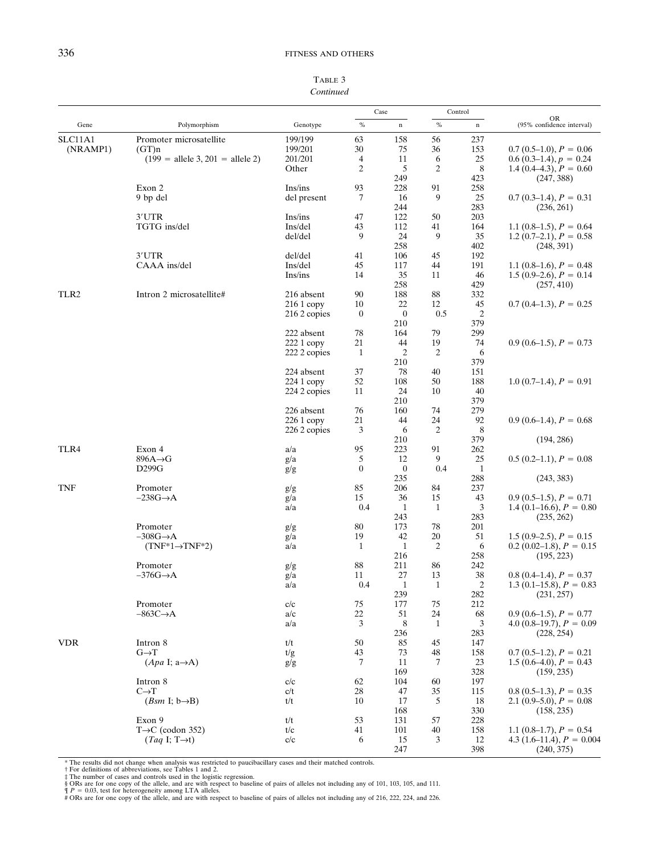| TABLE 3   |
|-----------|
| Continued |

|                  |                                                      |              |                  | Case                   |                | Control     |                                                      |
|------------------|------------------------------------------------------|--------------|------------------|------------------------|----------------|-------------|------------------------------------------------------|
| Gene             | Polymorphism                                         | Genotype     | $\%$             | $\mathbf n$            | $\%$           | $\mathbf n$ | <b>OR</b><br>(95% confidence interval)               |
| SLC11A1          | Promoter microsatellite                              | 199/199      | 63               | 158                    | 56             | 237         |                                                      |
| (NRAMP1)         | (GT)n                                                | 199/201      | 30               | 75                     | 36             | 153         | $0.7(0.5-1.0), P = 0.06$                             |
|                  | $(199 = \text{ allele } 3, 201 = \text{ allele } 2)$ | 201/201      | $\overline{4}$   | 11                     | 6              | 25          | $0.6(0.3-1.4), p = 0.24$                             |
|                  |                                                      | Other        | 2                | 5                      | 2              | 8           | 1.4 $(0.4-4.3)$ , $P = 0.60$                         |
|                  |                                                      |              |                  | 249                    |                | 423         | (247, 388)                                           |
|                  | Exon 2                                               | Ins/ins      | 93               | 228                    | 91             | 258         |                                                      |
|                  | 9 bp del                                             | del present  | 7                | 16                     | 9              | 25          | $0.7(0.3-1.4), P = 0.31$                             |
|                  | 3'UTR                                                | Ins/ins      | 47               | 244<br>122             |                | 283<br>203  | (236, 261)                                           |
|                  | TGTG ins/del                                         | Ins/del      | 43               | 112                    | 50<br>41       | 164         | 1.1 $(0.8-1.5)$ , $P = 0.64$                         |
|                  |                                                      | del/del      | 9                | 24                     | 9              | 35          | 1.2 (0.7–2.1), $P = 0.58$                            |
|                  |                                                      |              |                  | 258                    |                | 402         | (248, 391)                                           |
|                  | 3'UTR                                                | del/del      | 41               | 106                    | 45             | 192         |                                                      |
|                  | CAAA ins/del                                         | Ins/del      | 45               | 117                    | 44             | 191         | 1.1 $(0.8-1.6)$ , $P = 0.48$                         |
|                  |                                                      | Ins/ins      | 14               | 35                     | 11             | 46          | $1.5(0.9-2.6), P = 0.14$                             |
|                  |                                                      |              |                  | 258                    |                | 429         | (257, 410)                                           |
| TLR <sub>2</sub> | Intron 2 microsatellite#                             | 216 absent   | 90               | 188                    | 88             | 332         |                                                      |
|                  |                                                      | $2161$ copy  | 10               | 22                     | 12             | 45          | $0.7(0.4-1.3), P = 0.25$                             |
|                  |                                                      | 216 2 copies | $\bf{0}$         | $\boldsymbol{0}$       | 0.5            | 2           |                                                      |
|                  |                                                      |              |                  | 210                    |                | 379         |                                                      |
|                  |                                                      | 222 absent   | 78               | 164                    | 79             | 299         |                                                      |
|                  |                                                      | $2221$ copy  | 21               | 44                     | 19             | 74          | $0.9(0.6-1.5), P = 0.73$                             |
|                  |                                                      | 222 2 copies | 1                | $\overline{2}$         | 2              | 6           |                                                      |
|                  |                                                      |              |                  | 210                    |                | 379         |                                                      |
|                  |                                                      | 224 absent   | 37               | 78                     | 40             | 151         |                                                      |
|                  |                                                      | $2241$ copy  | 52               | 108                    | 50             | 188         | $1.0(0.7-1.4), P = 0.91$                             |
|                  |                                                      | 224 2 copies | 11               | 24                     | 10             | 40          |                                                      |
|                  |                                                      |              |                  | 210                    |                | 379         |                                                      |
|                  |                                                      | 226 absent   | 76               | 160                    | 74             | 279         |                                                      |
|                  |                                                      | $2261$ copy  | 21               | 44                     | 24             | 92          | $0.9(0.6-1.4), P = 0.68$                             |
|                  |                                                      | 226 2 copies | 3                | 6                      | 2              | 8           |                                                      |
|                  |                                                      |              |                  | 210                    |                | 379         | (194, 286)                                           |
| TLR4             | Exon 4                                               | a/a          | 95<br>5          | 223                    | 91<br>9        | 262         |                                                      |
|                  | $896A \rightarrow G$<br>D299G                        | g/a          | $\boldsymbol{0}$ | 12<br>$\boldsymbol{0}$ | 0.4            | 25<br>1     | $0.5(0.2-1.1), P = 0.08$                             |
|                  |                                                      | g/g          |                  | 235                    |                | 288         | (243, 383)                                           |
| TNF              | Promoter                                             | g/g          | 85               | 206                    | 84             | 237         |                                                      |
|                  | $-238G \rightarrow A$                                | g/a          | 15               | 36                     | 15             | 43          | $0.9(0.5-1.5), P = 0.71$                             |
|                  |                                                      | a/a          | 0.4              | 1                      | $\mathbf{1}$   | 3           | 1.4 (0.1–16.6), $P = 0.80$                           |
|                  |                                                      |              |                  | 243                    |                | 283         | (235, 262)                                           |
|                  | Promoter                                             | g/g          | 80               | 173                    | 78             | 201         |                                                      |
|                  | $-308G \rightarrow A$                                | g/a          | 19               | 42                     | 20             | 51          | $1.5(0.9-2.5), P = 0.15$                             |
|                  | $(TNF*1 \rightarrow TNF*2)$                          | a/a          | 1                | $\mathbf{1}$           | $\overline{c}$ | 6           | $0.2$ (0.02–1.8), $P = 0.15$                         |
|                  |                                                      |              |                  | 216                    |                | 258         | (195, 223)                                           |
|                  | Promoter                                             | g/g          | 88               | 211                    | 86             | 242         |                                                      |
|                  | $-376G \rightarrow A$                                | g/a          | 11               | $27\,$                 | 13             | 38          | $0.8(0.4-1.4), P = 0.37$                             |
|                  |                                                      | a/a          | $0.4\,$          | $\mathbf{1}$           | $\mathbf{1}$   | 2           | 1.3 (0.1–15.8), $P = 0.83$                           |
|                  |                                                      |              |                  | 239                    |                | 282         | (231, 257)                                           |
|                  | Promoter                                             | c/c          | 75               | 177                    | 75             | 212         |                                                      |
|                  | $-863C \rightarrow A$                                | a/c          | $22\,$           | 51                     | 24             | 68          | $0.9(0.6-1.5), P = 0.77$                             |
|                  |                                                      | a/a          | 3                | 8                      | 1              | 3           | 4.0 $(0.8-19.7)$ , $P = 0.09$                        |
|                  |                                                      |              |                  | 236                    |                | 283         | (228, 254)                                           |
| <b>VDR</b>       | Intron 8                                             | t/t          | 50               | 85                     | 45             | 147         |                                                      |
|                  | $G \rightarrow T$                                    | t/g          | 43               | 73                     | 48             | 158<br>23   | $0.7(0.5-1.2), P = 0.21$<br>$1.5(0.6-4.0), P = 0.43$ |
|                  | $(Apa \, I; a \rightarrow A)$                        | g/g          | 7                | 11<br>169              | 7              | 328         | (159, 235)                                           |
|                  | Intron 8                                             |              |                  | 104                    |                | 197         |                                                      |
|                  | $C\rightarrow T$                                     | c/c<br>c/t   | 62<br>28         | 47                     | 60<br>35       | 115         | $0.8(0.5-1.3), P = 0.35$                             |
|                  | $(Bsm \, I; b \rightarrow B)$                        | t/t          | 10               | 17                     | 5              | 18          | 2.1 $(0.9-5.0)$ , $P = 0.08$                         |
|                  |                                                      |              |                  | 168                    |                | 330         | (158, 235)                                           |
|                  | Exon 9                                               | t/t          | 53               | 131                    | 57             | 228         |                                                      |
|                  | $T\rightarrow C$ (codon 352)                         | t/c          | 41               | 101                    | 40             | 158         | 1.1 $(0.8-1.7)$ , $P = 0.54$                         |
|                  | $(Taq \, I; T \rightarrow t)$                        | c/c          | 6                | 15                     | 3              | 12          | 4.3 (1.6–11.4), $P = 0.004$                          |
|                  |                                                      |              |                  | 247                    |                | 398         | (240, 375)                                           |

- 
- 

<sup>\*</sup> The results did not change when analysis was restricted to paucibacillary cases and their matched controls.<br>† For definitions of abbreviations, see Tables 1 and 2.<br>‡ The number of cases and controls used in the logistic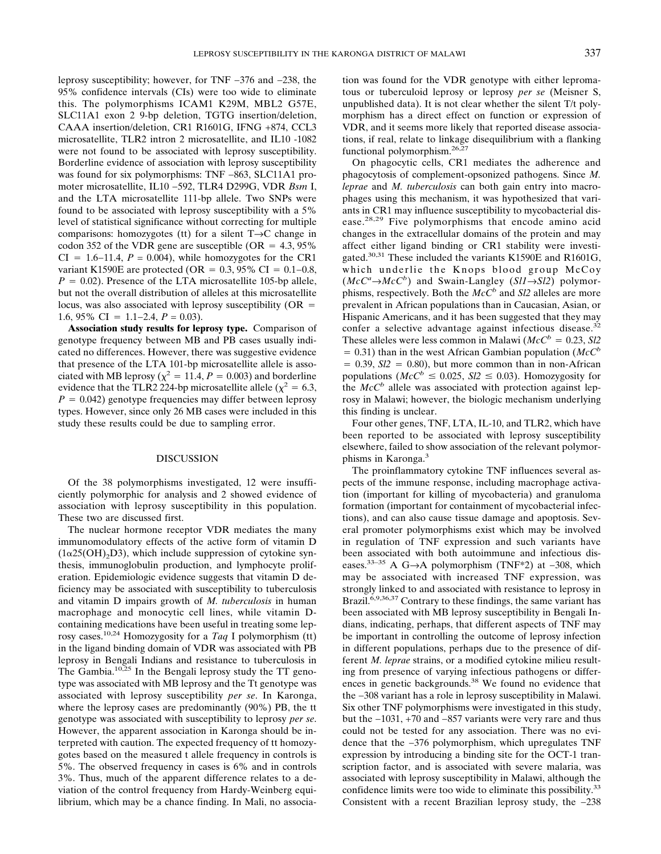leprosy susceptibility; however, for TNF −376 and −238, the 95% confidence intervals (CIs) were too wide to eliminate this. The polymorphisms ICAM1 K29M, MBL2 G57E, SLC11A1 exon 2 9-bp deletion, TGTG insertion/deletion, CAAA insertion/deletion, CR1 R1601G, IFNG +874, CCL3 microsatellite, TLR2 intron 2 microsatellite, and IL10 -1082 were not found to be associated with leprosy susceptibility. Borderline evidence of association with leprosy susceptibility was found for six polymorphisms: TNF -863, SLC11A1 promoter microsatellite, IL10 −592, TLR4 D299G, VDR *Bsm* I, and the LTA microsatellite 111-bp allele. Two SNPs were found to be associated with leprosy susceptibility with a 5% level of statistical significance without correcting for multiple comparisons: homozygotes (tt) for a silent T→C change in codon 352 of the VDR gene are susceptible (OR  $= 4.3, 95\%$  $CI = 1.6-11.4, P = 0.004$ , while homozygotes for the CR1 variant K1590E are protected (OR =  $0.3, 95\%$  CI =  $0.1-0.8$ ,  $P = 0.02$ ). Presence of the LTA microsatellite 105-bp allele, but not the overall distribution of alleles at this microsatellite locus, was also associated with leprosy susceptibility ( $OR =$ 1.6, 95% CI 1.1−2.4, *P =* 0.03).

**Association study results for leprosy type.** Comparison of genotype frequency between MB and PB cases usually indicated no differences. However, there was suggestive evidence that presence of the LTA 101-bp microsatellite allele is associated with MB leprosy ( $\chi^2 = 11.4$ ,  $P = 0.003$ ) and borderline evidence that the TLR2 224-bp microsatellite allele ( $\chi^2 = 6.3$ ,  $P = 0.042$ ) genotype frequencies may differ between leprosy types. However, since only 26 MB cases were included in this study these results could be due to sampling error.

#### DISCUSSION

Of the 38 polymorphisms investigated, 12 were insufficiently polymorphic for analysis and 2 showed evidence of association with leprosy susceptibility in this population. These two are discussed first.

The nuclear hormone receptor VDR mediates the many immunomodulatory effects of the active form of vitamin D  $(1\alpha25(OH), D3)$ , which include suppression of cytokine synthesis, immunoglobulin production, and lymphocyte proliferation. Epidemiologic evidence suggests that vitamin D deficiency may be associated with susceptibility to tuberculosis and vitamin D impairs growth of *M. tuberculosis* in human macrophage and monocytic cell lines, while vitamin Dcontaining medications have been useful in treating some leprosy cases.10,24 Homozygosity for a *Taq* I polymorphism (tt) in the ligand binding domain of VDR was associated with PB leprosy in Bengali Indians and resistance to tuberculosis in The Gambia.10,25 In the Bengali leprosy study the TT genotype was associated with MB leprosy and the Tt genotype was associated with leprosy susceptibility *per se*. In Karonga, where the leprosy cases are predominantly (90%) PB, the tt genotype was associated with susceptibility to leprosy *per se*. However, the apparent association in Karonga should be interpreted with caution. The expected frequency of tt homozygotes based on the measured t allele frequency in controls is 5%. The observed frequency in cases is 6% and in controls 3%. Thus, much of the apparent difference relates to a deviation of the control frequency from Hardy-Weinberg equilibrium, which may be a chance finding. In Mali, no associa-

tion was found for the VDR genotype with either lepromatous or tuberculoid leprosy or leprosy *per se* (Meisner S, unpublished data). It is not clear whether the silent T/t polymorphism has a direct effect on function or expression of VDR, and it seems more likely that reported disease associations, if real, relate to linkage disequilibrium with a flanking functional polymorphism.26,27

On phagocytic cells, CR1 mediates the adherence and phagocytosis of complement-opsonized pathogens. Since *M. leprae* and *M. tuberculosis* can both gain entry into macrophages using this mechanism, it was hypothesized that variants in CR1 may influence susceptibility to mycobacterial disease.28,29 Five polymorphisms that encode amino acid changes in the extracellular domains of the protein and may affect either ligand binding or CR1 stability were investigated.<sup>30,31</sup> These included the variants K1590E and R1601G, which underlie the Knops blood group McCoy  $(McC^a \rightarrow McC^b)$  and Swain-Langley  $(Sl1 \rightarrow Sl2)$  polymorphisms, respectively. Both the *McC<sup>b</sup>* and *Sl2* alleles are more prevalent in African populations than in Caucasian, Asian, or Hispanic Americans, and it has been suggested that they may confer a selective advantage against infectious disease.<sup>32</sup> These alleles were less common in Malawi ( $McC<sup>b</sup> = 0.23$ , *Sl2*  $= 0.31$ ) than in the west African Gambian population (*McC<sup>b</sup>*  $= 0.39$ ,  $\text{S12} = 0.80$ , but more common than in non-African populations ( $McC^b \le 0.025$ ,  $Sl2 \le 0.03$ ). Homozygosity for the  $McC<sup>b</sup>$  allele was associated with protection against leprosy in Malawi; however, the biologic mechanism underlying this finding is unclear.

Four other genes, TNF, LTA, IL-10, and TLR2, which have been reported to be associated with leprosy susceptibility elsewhere, failed to show association of the relevant polymorphisms in Karonga.3

The proinflammatory cytokine TNF influences several aspects of the immune response, including macrophage activation (important for killing of mycobacteria) and granuloma formation (important for containment of mycobacterial infections), and can also cause tissue damage and apoptosis. Several promoter polymorphisms exist which may be involved in regulation of TNF expression and such variants have been associated with both autoimmune and infectious diseases.33–35 A G→A polymorphism (TNF\*2) at −308, which may be associated with increased TNF expression, was strongly linked to and associated with resistance to leprosy in Brazil.<sup>6,9,36,37</sup> Contrary to these findings, the same variant has been associated with MB leprosy susceptibility in Bengali Indians, indicating, perhaps, that different aspects of TNF may be important in controlling the outcome of leprosy infection in different populations, perhaps due to the presence of different *M. leprae* strains, or a modified cytokine milieu resulting from presence of varying infectious pathogens or differences in genetic backgrounds.<sup>38</sup> We found no evidence that the −308 variant has a role in leprosy susceptibility in Malawi. Six other TNF polymorphisms were investigated in this study, but the −1031, +70 and −857 variants were very rare and thus could not be tested for any association. There was no evidence that the −376 polymorphism, which upregulates TNF expression by introducing a binding site for the OCT-1 transcription factor, and is associated with severe malaria, was associated with leprosy susceptibility in Malawi, although the confidence limits were too wide to eliminate this possibility.<sup>33</sup> Consistent with a recent Brazilian leprosy study, the −238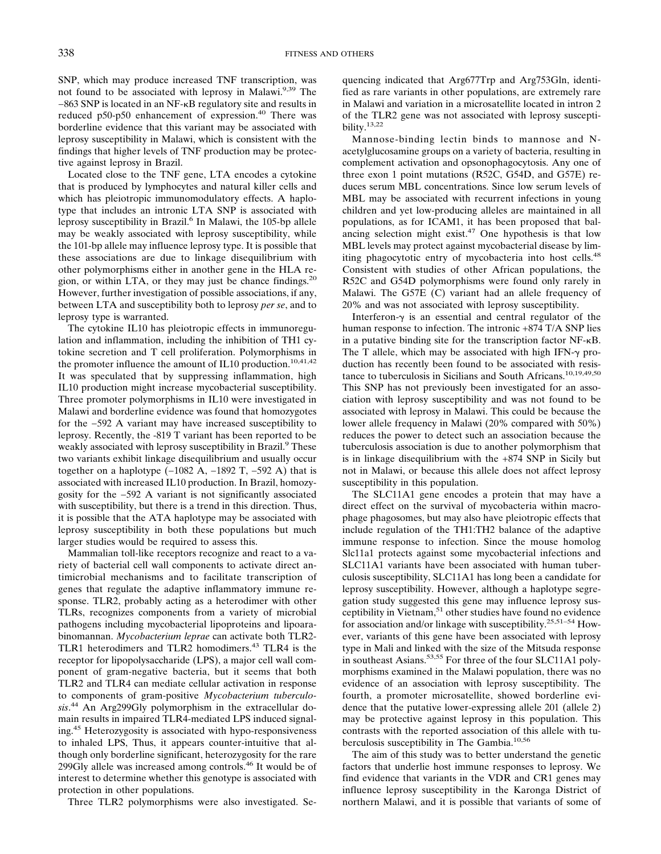SNP, which may produce increased TNF transcription, was not found to be associated with leprosy in Malawi.<sup>9,39</sup> The −863 SNP is located in an NF-B regulatory site and results in reduced p50-p50 enhancement of expression.<sup>40</sup> There was borderline evidence that this variant may be associated with leprosy susceptibility in Malawi, which is consistent with the findings that higher levels of TNF production may be protective against leprosy in Brazil.

Located close to the TNF gene, LTA encodes a cytokine that is produced by lymphocytes and natural killer cells and which has pleiotropic immunomodulatory effects. A haplotype that includes an intronic LTA SNP is associated with leprosy susceptibility in Brazil.<sup>6</sup> In Malawi, the 105-bp allele may be weakly associated with leprosy susceptibility, while the 101-bp allele may influence leprosy type. It is possible that these associations are due to linkage disequilibrium with other polymorphisms either in another gene in the HLA region, or within LTA, or they may just be chance findings. $20$ However, further investigation of possible associations, if any, between LTA and susceptibility both to leprosy *per se*, and to leprosy type is warranted.

The cytokine IL10 has pleiotropic effects in immunoregulation and inflammation, including the inhibition of TH1 cytokine secretion and T cell proliferation. Polymorphisms in the promoter influence the amount of IL10 production.<sup>10,41,42</sup> It was speculated that by suppressing inflammation, high IL10 production might increase mycobacterial susceptibility. Three promoter polymorphisms in IL10 were investigated in Malawi and borderline evidence was found that homozygotes for the −592 A variant may have increased susceptibility to leprosy. Recently, the -819 T variant has been reported to be weakly associated with leprosy susceptibility in Brazil.<sup>9</sup> These two variants exhibit linkage disequilibrium and usually occur together on a haplotype  $(-1082 \text{ A}, -1892 \text{ T}, -592 \text{ A})$  that is associated with increased IL10 production. In Brazil, homozygosity for the −592 A variant is not significantly associated with susceptibility, but there is a trend in this direction. Thus, it is possible that the ATA haplotype may be associated with leprosy susceptibility in both these populations but much larger studies would be required to assess this.

Mammalian toll-like receptors recognize and react to a variety of bacterial cell wall components to activate direct antimicrobial mechanisms and to facilitate transcription of genes that regulate the adaptive inflammatory immune response. TLR2, probably acting as a heterodimer with other TLRs, recognizes components from a variety of microbial pathogens including mycobacterial lipoproteins and lipoarabinomannan. *Mycobacterium leprae* can activate both TLR2- TLR1 heterodimers and TLR2 homodimers.<sup>43</sup> TLR4 is the receptor for lipopolysaccharide (LPS), a major cell wall component of gram-negative bacteria, but it seems that both TLR2 and TLR4 can mediate cellular activation in response to components of gram-positive *Mycobacterium tuberculosis*. <sup>44</sup> An Arg299Gly polymorphism in the extracellular domain results in impaired TLR4-mediated LPS induced signaling.45 Heterozygosity is associated with hypo-responsiveness to inhaled LPS, Thus, it appears counter-intuitive that although only borderline significant, heterozygosity for the rare 299Gly allele was increased among controls.46 It would be of interest to determine whether this genotype is associated with protection in other populations.

Three TLR2 polymorphisms were also investigated. Se-

quencing indicated that Arg677Trp and Arg753Gln, identified as rare variants in other populations, are extremely rare in Malawi and variation in a microsatellite located in intron 2 of the TLR2 gene was not associated with leprosy susceptibility.13,22

Mannose-binding lectin binds to mannose and Nacetylglucosamine groups on a variety of bacteria, resulting in complement activation and opsonophagocytosis. Any one of three exon 1 point mutations (R52C, G54D, and G57E) reduces serum MBL concentrations. Since low serum levels of MBL may be associated with recurrent infections in young children and yet low-producing alleles are maintained in all populations, as for ICAM1, it has been proposed that balancing selection might exist. $47$  One hypothesis is that low MBL levels may protect against mycobacterial disease by limiting phagocytotic entry of mycobacteria into host cells.<sup>48</sup> Consistent with studies of other African populations, the R52C and G54D polymorphisms were found only rarely in Malawi. The G57E (C) variant had an allele frequency of 20% and was not associated with leprosy susceptibility.

Interferon- $\gamma$  is an essential and central regulator of the human response to infection. The intronic +874 T/A SNP lies in a putative binding site for the transcription factor  $NF-\kappa B$ . The T allele, which may be associated with high IFN- $\gamma$  production has recently been found to be associated with resistance to tuberculosis in Sicilians and South Africans.<sup>10,19,49,50</sup> This SNP has not previously been investigated for an association with leprosy susceptibility and was not found to be associated with leprosy in Malawi. This could be because the lower allele frequency in Malawi (20% compared with 50%) reduces the power to detect such an association because the tuberculosis association is due to another polymorphism that is in linkage disequilibrium with the +874 SNP in Sicily but not in Malawi, or because this allele does not affect leprosy susceptibility in this population.

The SLC11A1 gene encodes a protein that may have a direct effect on the survival of mycobacteria within macrophage phagosomes, but may also have pleiotropic effects that include regulation of the TH1:TH2 balance of the adaptive immune response to infection. Since the mouse homolog Slc11a1 protects against some mycobacterial infections and SLC11A1 variants have been associated with human tuberculosis susceptibility, SLC11A1 has long been a candidate for leprosy susceptibility. However, although a haplotype segregation study suggested this gene may influence leprosy susceptibility in Vietnam,  $51$  other studies have found no evidence for association and/or linkage with susceptibility.<sup>25,51–54</sup> However, variants of this gene have been associated with leprosy type in Mali and linked with the size of the Mitsuda response in southeast Asians.<sup>53,55</sup> For three of the four SLC11A1 polymorphisms examined in the Malawi population, there was no evidence of an association with leprosy susceptibility. The fourth, a promoter microsatellite, showed borderline evidence that the putative lower-expressing allele 201 (allele 2) may be protective against leprosy in this population. This contrasts with the reported association of this allele with tuberculosis susceptibility in The Gambia.<sup>10,56</sup>

The aim of this study was to better understand the genetic factors that underlie host immune responses to leprosy. We find evidence that variants in the VDR and CR1 genes may influence leprosy susceptibility in the Karonga District of northern Malawi, and it is possible that variants of some of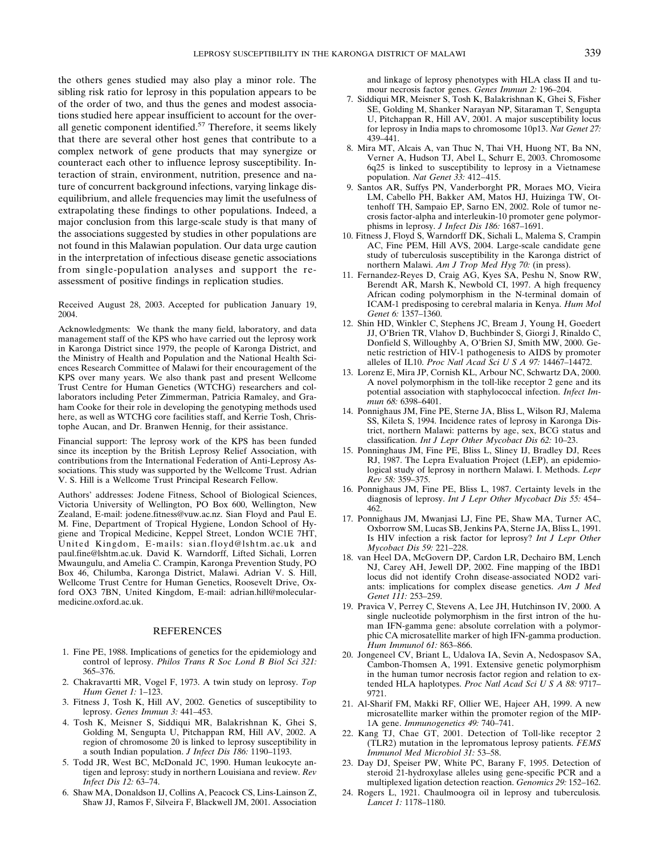the others genes studied may also play a minor role. The sibling risk ratio for leprosy in this population appears to be of the order of two, and thus the genes and modest associations studied here appear insufficient to account for the overall genetic component identified. $57$  Therefore, it seems likely that there are several other host genes that contribute to a complex network of gene products that may synergize or counteract each other to influence leprosy susceptibility. Interaction of strain, environment, nutrition, presence and nature of concurrent background infections, varying linkage disequilibrium, and allele frequencies may limit the usefulness of extrapolating these findings to other populations. Indeed, a major conclusion from this large-scale study is that many of the associations suggested by studies in other populations are not found in this Malawian population. Our data urge caution in the interpretation of infectious disease genetic associations from single-population analyses and support the reassessment of positive findings in replication studies.

Received August 28, 2003. Accepted for publication January 19, 2004.

Acknowledgments: We thank the many field, laboratory, and data management staff of the KPS who have carried out the leprosy work in Karonga District since 1979, the people of Karonga District, and the Ministry of Health and Population and the National Health Sciences Research Committee of Malawi for their encouragement of the KPS over many years. We also thank past and present Wellcome Trust Centre for Human Genetics (WTCHG) researchers and collaborators including Peter Zimmerman, Patricia Ramaley, and Graham Cooke for their role in developing the genotyping methods used here, as well as WTCHG core facilities staff, and Kerrie Tosh, Christophe Aucan, and Dr. Branwen Hennig, for their assistance.

Financial support: The leprosy work of the KPS has been funded since its inception by the British Leprosy Relief Association, with contributions from the International Federation of Anti-Leprosy Associations. This study was supported by the Wellcome Trust. Adrian V. S. Hill is a Wellcome Trust Principal Research Fellow.

Authors' addresses: Jodene Fitness, School of Biological Sciences, Victoria University of Wellington, PO Box 600, Wellington, New Zealand, E-mail: jodene.fitness@vuw.ac.nz. Sian Floyd and Paul E. M. Fine, Department of Tropical Hygiene, London School of Hygiene and Tropical Medicine, Keppel Street, London WC1E 7HT, United Kingdom, E-mails: sian.floyd@lshtm.ac.uk and paul.fine@lshtm.ac.uk. David K. Warndorff, Lifted Sichali, Lorren Mwaungulu, and Amelia C. Crampin, Karonga Prevention Study, PO Box 46, Chilumba, Karonga District, Malawi. Adrian V. S. Hill, Wellcome Trust Centre for Human Genetics, Roosevelt Drive, Oxford OX3 7BN, United Kingdom, E-mail: adrian.hill@molecularmedicine.oxford.ac.uk.

#### REFERENCES

- 1. Fine PE, 1988. Implications of genetics for the epidemiology and control of leprosy. *Philos Trans R Soc Lond B Biol Sci 321:* 365–376.
- 2. Chakravartti MR, Vogel F, 1973. A twin study on leprosy. *Top Hum Genet 1:* 1–123.
- 3. Fitness J, Tosh K, Hill AV, 2002. Genetics of susceptibility to leprosy. *Genes Immun 3:* 441–453.
- 4. Tosh K, Meisner S, Siddiqui MR, Balakrishnan K, Ghei S, Golding M, Sengupta U, Pitchappan RM, Hill AV, 2002. A region of chromosome 20 is linked to leprosy susceptibility in a south Indian population. *J Infect Dis 186:* 1190–1193.
- 5. Todd JR, West BC, McDonald JC, 1990. Human leukocyte antigen and leprosy: study in northern Louisiana and review. *Rev Infect Dis 12:* 63–74.
- 6. Shaw MA, Donaldson IJ, Collins A, Peacock CS, Lins-Lainson Z, Shaw JJ, Ramos F, Silveira F, Blackwell JM, 2001. Association

and linkage of leprosy phenotypes with HLA class II and tumour necrosis factor genes. *Genes Immun 2:* 196–204.

- 7. Siddiqui MR, Meisner S, Tosh K, Balakrishnan K, Ghei S, Fisher SE, Golding M, Shanker Narayan NP, Sitaraman T, Sengupta U, Pitchappan R, Hill AV, 2001. A major susceptibility locus for leprosy in India maps to chromosome 10p13. *Nat Genet 27:* 439–441.
- 8. Mira MT, Alcais A, van Thuc N, Thai VH, Huong NT, Ba NN, Verner A, Hudson TJ, Abel L, Schurr E, 2003. Chromosome 6q25 is linked to susceptibility to leprosy in a Vietnamese population. *Nat Genet 33:* 412−415.
- 9. Santos AR, Suffys PN, Vanderborght PR, Moraes MO, Vieira LM, Cabello PH, Bakker AM, Matos HJ, Huizinga TW, Ottenhoff TH, Sampaio EP, Sarno EN, 2002. Role of tumor necrosis factor-alpha and interleukin-10 promoter gene polymorphisms in leprosy. *J Infect Dis 186:* 1687–1691.
- 10. Fitness J, Floyd S, Warndorff DK, Sichali L, Malema S, Crampin AC, Fine PEM, Hill AVS, 2004. Large-scale candidate gene study of tuberculosis susceptibility in the Karonga district of northern Malawi. *Am J Trop Med Hyg 70:* (in press).
- 11. Fernandez-Reyes D, Craig AG, Kyes SA, Peshu N, Snow RW, Berendt AR, Marsh K, Newbold CI, 1997. A high frequency African coding polymorphism in the N-terminal domain of ICAM-1 predisposing to cerebral malaria in Kenya. *Hum Mol Genet 6:* 1357–1360.
- 12. Shin HD, Winkler C, Stephens JC, Bream J, Young H, Goedert JJ, O'Brien TR, Vlahov D, Buchbinder S, Giorgi J, Rinaldo C, Donfield S, Willoughby A, O'Brien SJ, Smith MW, 2000. Genetic restriction of HIV-1 pathogenesis to AIDS by promoter alleles of IL10. *Proc Natl Acad Sci U S A 97:* 14467–14472.
- 13. Lorenz E, Mira JP, Cornish KL, Arbour NC, Schwartz DA, 2000. A novel polymorphism in the toll-like receptor 2 gene and its potential association with staphylococcal infection. *Infect Immun 68:* 6398–6401.
- 14. Ponnighaus JM, Fine PE, Sterne JA, Bliss L, Wilson RJ, Malema SS, Kileta S, 1994. Incidence rates of leprosy in Karonga District, northern Malawi: patterns by age, sex, BCG status and classification. *Int J Lepr Other Mycobact Dis 62:* 10–23.
- 15. Ponninghaus JM, Fine PE, Bliss L, Sliney IJ, Bradley DJ, Rees RJ, 1987. The Lepra Evaluation Project (LEP), an epidemiological study of leprosy in northern Malawi. I. Methods. *Lepr Rev 58:* 359–375.
- 16. Ponnighaus JM, Fine PE, Bliss L, 1987. Certainty levels in the diagnosis of leprosy. *Int J Lepr Other Mycobact Dis 55:* 454– 462.
- 17. Ponnighaus JM, Mwanjasi LJ, Fine PE, Shaw MA, Turner AC, Oxborrow SM, Lucas SB, Jenkins PA, Sterne JA, Bliss L, 1991. Is HIV infection a risk factor for leprosy? *Int J Lepr Other Mycobact Dis 59:* 221–228.
- 18. van Heel DA, McGovern DP, Cardon LR, Dechairo BM, Lench NJ, Carey AH, Jewell DP, 2002. Fine mapping of the IBD1 locus did not identify Crohn disease-associated NOD2 variants: implications for complex disease genetics. *Am J Med Genet 111:* 253–259.
- 19. Pravica V, Perrey C, Stevens A, Lee JH, Hutchinson IV, 2000. A single nucleotide polymorphism in the first intron of the human IFN-gamma gene: absolute correlation with a polymorphic CA microsatellite marker of high IFN-gamma production. *Hum Immunol 61:* 863–866.
- 20. Jongeneel CV, Briant L, Udalova IA, Sevin A, Nedospasov SA, Cambon-Thomsen A, 1991. Extensive genetic polymorphism in the human tumor necrosis factor region and relation to extended HLA haplotypes. *Proc Natl Acad Sci U S A 88:* 9717– 9721.
- 21. Al-Sharif FM, Makki RF, Ollier WE, Hajeer AH, 1999. A new microsatellite marker within the promoter region of the MIP-1A gene. *Immunogenetics 49:* 740–741.
- 22. Kang TJ, Chae GT, 2001. Detection of Toll-like receptor 2 (TLR2) mutation in the lepromatous leprosy patients. *FEMS Immunol Med Microbiol 31:* 53–58.
- 23. Day DJ, Speiser PW, White PC, Barany F, 1995. Detection of steroid 21-hydroxylase alleles using gene-specific PCR and a multiplexed ligation detection reaction. *Genomics 29:* 152–162.
- 24. Rogers L, 1921. Chaulmoogra oil in leprosy and tuberculosis*. Lancet 1:* 1178–1180.